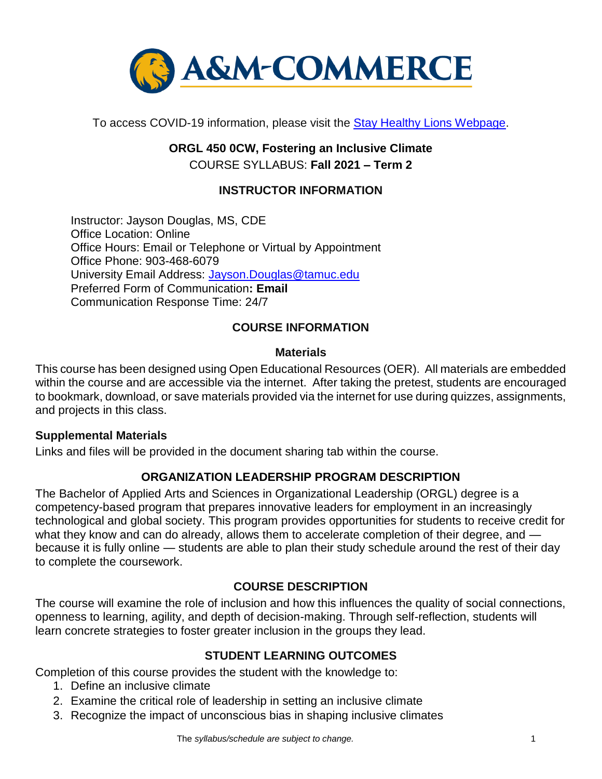

To access COVID-19 information, please visit the [Stay Healthy Lions Webpage.](https://new.tamuc.edu/coronavirus/)

# **ORGL 450 0CW, Fostering an Inclusive Climate** COURSE SYLLABUS: **Fall 2021 – Term 2**

## **INSTRUCTOR INFORMATION**

Instructor: Jayson Douglas, MS, CDE Office Location: Online Office Hours: Email or Telephone or Virtual by Appointment Office Phone: 903-468-6079 University Email Address: [Jayson.Douglas@tamuc.edu](mailto:Jayson.Douglas@tamuc.edu) Preferred Form of Communication**: Email** Communication Response Time: 24/7

### **COURSE INFORMATION**

#### **Materials**

This course has been designed using Open Educational Resources (OER). All materials are embedded within the course and are accessible via the internet. After taking the pretest, students are encouraged to bookmark, download, or save materials provided via the internet for use during quizzes, assignments, and projects in this class.

### **Supplemental Materials**

Links and files will be provided in the document sharing tab within the course.

### **ORGANIZATION LEADERSHIP PROGRAM DESCRIPTION**

The Bachelor of Applied Arts and Sciences in Organizational Leadership (ORGL) degree is a competency-based program that prepares innovative leaders for employment in an increasingly technological and global society. This program provides opportunities for students to receive credit for what they know and can do already, allows them to accelerate completion of their degree, and because it is fully online — students are able to plan their study schedule around the rest of their day to complete the coursework.

### **[COURSE DESCRIPTION](http://catalog.tamuc.edu/undergrad/colleges-and-departments/college-of-innovation-design/baas-organizational-leadership/?_ga=2.81546143.928332977.1616426723-584154711.1595512675)**

The course will examine the role of inclusion and how this influences the quality of social connections, openness to learning, agility, and depth of decision-making. Through self-reflection, students will learn concrete strategies to foster greater inclusion in the groups they lead.

### **STUDENT LEARNING OUTCOMES**

Completion of this course provides the student with the knowledge to:

- 1. Define an inclusive climate
- 2. Examine the critical role of leadership in setting an inclusive climate
- 3. Recognize the impact of unconscious bias in shaping inclusive climates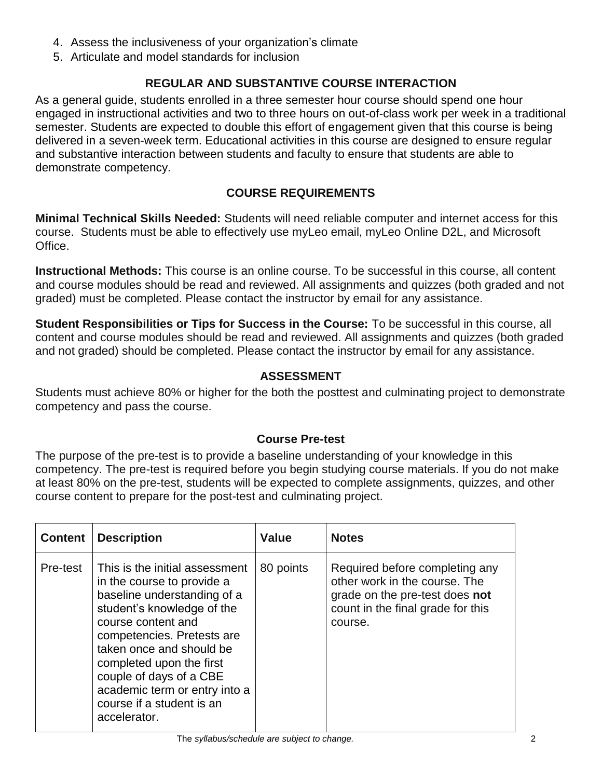- 4. Assess the inclusiveness of your organization's climate
- 5. Articulate and model standards for inclusion

## **REGULAR AND SUBSTANTIVE COURSE INTERACTION**

As a general guide, students enrolled in a three semester hour course should spend one hour engaged in instructional activities and two to three hours on out-of-class work per week in a traditional semester. Students are expected to double this effort of engagement given that this course is being delivered in a seven-week term. Educational activities in this course are designed to ensure regular and substantive interaction between students and faculty to ensure that students are able to demonstrate competency.

### **COURSE REQUIREMENTS**

**Minimal Technical Skills Needed:** Students will need reliable computer and internet access for this course. Students must be able to effectively use myLeo email, myLeo Online D2L, and Microsoft Office.

**Instructional Methods:** This course is an online course. To be successful in this course, all content and course modules should be read and reviewed. All assignments and quizzes (both graded and not graded) must be completed. Please contact the instructor by email for any assistance.

**Student Responsibilities or Tips for Success in the Course:** To be successful in this course, all content and course modules should be read and reviewed. All assignments and quizzes (both graded and not graded) should be completed. Please contact the instructor by email for any assistance.

### **ASSESSMENT**

Students must achieve 80% or higher for the both the posttest and culminating project to demonstrate competency and pass the course.

### **Course Pre-test**

The purpose of the pre-test is to provide a baseline understanding of your knowledge in this competency. The pre-test is required before you begin studying course materials. If you do not make at least 80% on the pre-test, students will be expected to complete assignments, quizzes, and other course content to prepare for the post-test and culminating project.

| <b>Content</b> | <b>Description</b>                                                                                                                                                                                                                                                                                                                             | <b>Value</b> | <b>Notes</b>                                                                                                                                      |
|----------------|------------------------------------------------------------------------------------------------------------------------------------------------------------------------------------------------------------------------------------------------------------------------------------------------------------------------------------------------|--------------|---------------------------------------------------------------------------------------------------------------------------------------------------|
| Pre-test       | This is the initial assessment<br>in the course to provide a<br>baseline understanding of a<br>student's knowledge of the<br>course content and<br>competencies. Pretests are<br>taken once and should be<br>completed upon the first<br>couple of days of a CBE<br>academic term or entry into a<br>course if a student is an<br>accelerator. | 80 points    | Required before completing any<br>other work in the course. The<br>grade on the pre-test does not<br>count in the final grade for this<br>course. |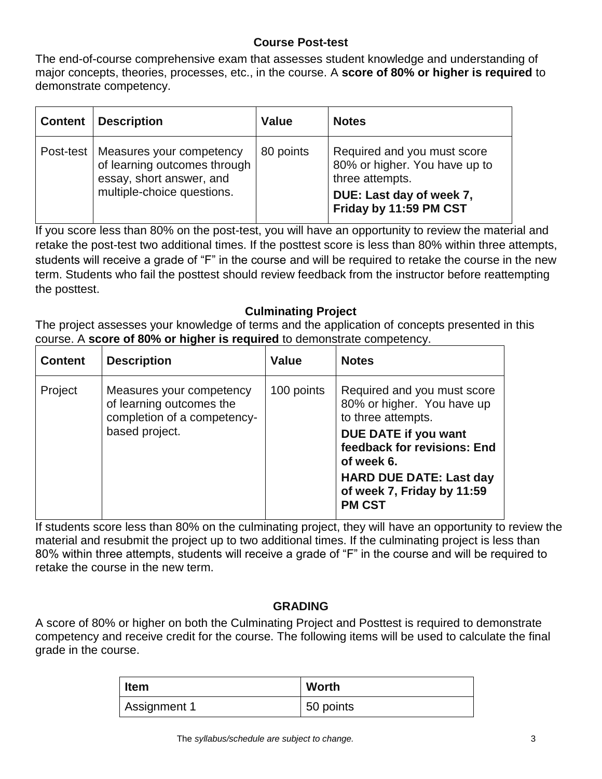### **Course Post-test**

The end-of-course comprehensive exam that assesses student knowledge and understanding of major concepts, theories, processes, etc., in the course. A **score of 80% or higher is required** to demonstrate competency.

| <b>Content   Description</b>                                                                                                   | <b>Value</b> | <b>Notes</b>                                                                    |
|--------------------------------------------------------------------------------------------------------------------------------|--------------|---------------------------------------------------------------------------------|
| Post-test   Measures your competency<br>of learning outcomes through<br>essay, short answer, and<br>multiple-choice questions. | 80 points    | Required and you must score<br>80% or higher. You have up to<br>three attempts. |
|                                                                                                                                |              | DUE: Last day of week 7,<br>Friday by 11:59 PM CST                              |

If you score less than 80% on the post-test, you will have an opportunity to review the material and retake the post-test two additional times. If the posttest score is less than 80% within three attempts, students will receive a grade of "F" in the course and will be required to retake the course in the new term. Students who fail the posttest should review feedback from the instructor before reattempting the posttest.

### **Culminating Project**

The project assesses your knowledge of terms and the application of concepts presented in this course. A **score of 80% or higher is required** to demonstrate competency.

| <b>Content</b> | <b>Description</b>                                                                                    | <b>Value</b> | <b>Notes</b>                                                                    |
|----------------|-------------------------------------------------------------------------------------------------------|--------------|---------------------------------------------------------------------------------|
| Project        | Measures your competency<br>of learning outcomes the<br>completion of a competency-<br>based project. | 100 points   | Required and you must score<br>80% or higher. You have up<br>to three attempts. |
|                |                                                                                                       |              | DUE DATE if you want<br>feedback for revisions: End<br>of week 6.               |
|                |                                                                                                       |              | <b>HARD DUE DATE: Last day</b><br>of week 7, Friday by 11:59<br><b>PM CST</b>   |

If students score less than 80% on the culminating project, they will have an opportunity to review the material and resubmit the project up to two additional times. If the culminating project is less than 80% within three attempts, students will receive a grade of "F" in the course and will be required to retake the course in the new term.

### **GRADING**

A score of 80% or higher on both the Culminating Project and Posttest is required to demonstrate competency and receive credit for the course. The following items will be used to calculate the final grade in the course.

| <b>Item</b>  | Worth     |
|--------------|-----------|
| Assignment 1 | 50 points |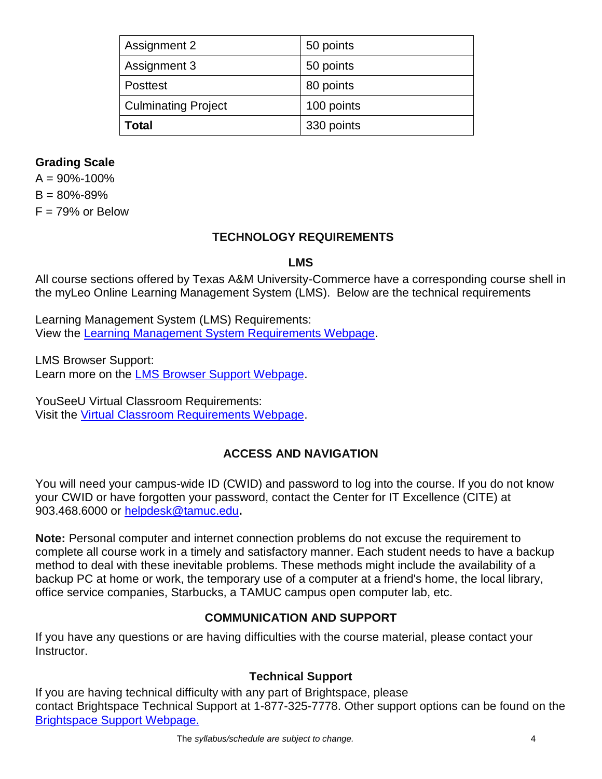| Assignment 2               | 50 points  |
|----------------------------|------------|
| Assignment 3               | 50 points  |
| <b>Posttest</b>            | 80 points  |
| <b>Culminating Project</b> | 100 points |
| Total                      | 330 points |

### **Grading Scale**

 $A = 90\% - 100\%$  $B = 80\% - 89\%$  $F = 79%$  or Below

### **TECHNOLOGY REQUIREMENTS**

#### **LMS**

All course sections offered by Texas A&M University-Commerce have a corresponding course shell in the myLeo Online Learning Management System (LMS). Below are the technical requirements

Learning Management System (LMS) Requirements: View the [Learning Management System Requirements Webpage.](https://community.brightspace.com/s/article/Brightspace-Platform-Requirements)

LMS Browser Support: Learn more on the [LMS Browser Support Webpage.](https://documentation.brightspace.com/EN/brightspace/requirements/all/browser_support.htm)

YouSeeU Virtual Classroom Requirements: Visit the [Virtual Classroom Requirements Webpage.](https://support.youseeu.com/hc/en-us/articles/115007031107-Basic-System-Requirements)

## **ACCESS AND NAVIGATION**

You will need your campus-wide ID (CWID) and password to log into the course. If you do not know your CWID or have forgotten your password, contact the Center for IT Excellence (CITE) at 903.468.6000 or [helpdesk@tamuc.edu](mailto:helpdesk@tamuc.edu)**.**

**Note:** Personal computer and internet connection problems do not excuse the requirement to complete all course work in a timely and satisfactory manner. Each student needs to have a backup method to deal with these inevitable problems. These methods might include the availability of a backup PC at home or work, the temporary use of a computer at a friend's home, the local library, office service companies, Starbucks, a TAMUC campus open computer lab, etc.

### **COMMUNICATION AND SUPPORT**

If you have any questions or are having difficulties with the course material, please contact your Instructor.

### **Technical Support**

If you are having technical difficulty with any part of Brightspace, please contact Brightspace Technical Support at 1-877-325-7778. Other support options can be found on the [Brightspace Support Webpage.](https://community.brightspace.com/support/s/contactsupport)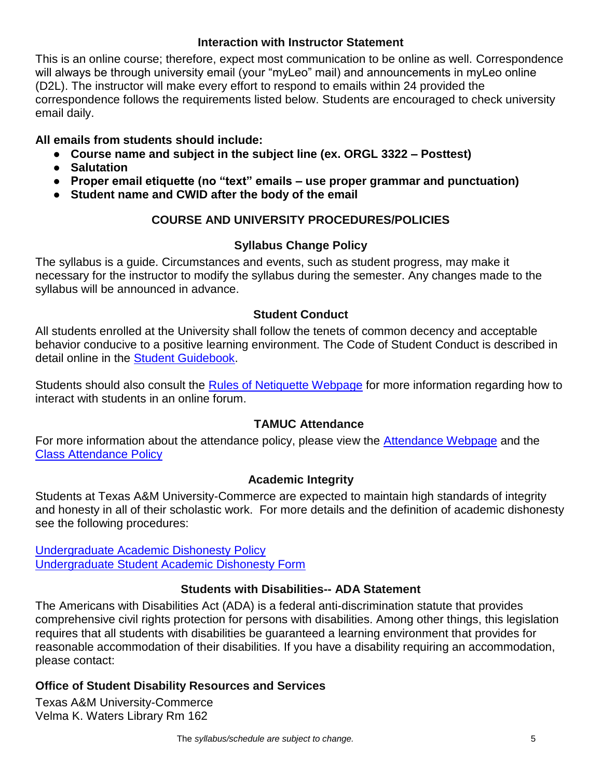### **Interaction with Instructor Statement**

This is an online course; therefore, expect most communication to be online as well. Correspondence will always be through university email (your "myLeo" mail) and announcements in myLeo online (D2L). The instructor will make every effort to respond to emails within 24 provided the correspondence follows the requirements listed below. Students are encouraged to check university email daily.

## **All emails from students should include:**

- **Course name and subject in the subject line (ex. ORGL 3322 – Posttest)**
- **Salutation**
- **Proper email etiquette (no "text" emails – use proper grammar and punctuation)**
- **Student name and CWID after the body of the email**

## **COURSE AND UNIVERSITY PROCEDURES/POLICIES**

## **Syllabus Change Policy**

The syllabus is a guide. Circumstances and events, such as student progress, may make it necessary for the instructor to modify the syllabus during the semester. Any changes made to the syllabus will be announced in advance.

## **Student Conduct**

All students enrolled at the University shall follow the tenets of common decency and acceptable behavior conducive to a positive learning environment. The Code of Student Conduct is described in detail online in the [Student Guidebook.](http://www.tamuc.edu/Admissions/oneStopShop/undergraduateAdmissions/studentGuidebook.aspx)

Students should also consult the [Rules of Netiquette Webpage](https://www.britannica.com/topic/netiquette) for more information regarding how to interact with students in an online forum.

## **TAMUC Attendance**

For more information about the attendance policy, please view the [Attendance Webpage](http://www.tamuc.edu/admissions/registrar/generalInformation/attendance.aspx) and the [Class Attendance Policy](http://www.tamuc.edu/aboutUs/policiesProceduresStandardsStatements/rulesProcedures/13students/academic/13.99.99.R0.01.pdf)

### **Academic Integrity**

Students at Texas A&M University-Commerce are expected to maintain high standards of integrity and honesty in all of their scholastic work. For more details and the definition of academic dishonesty see the following procedures:

[Undergraduate Academic Dishonesty P](http://www.tamuc.edu/aboutUs/policiesProceduresStandardsStatements/rulesProcedures/13students/undergraduates/13.99.99.R0.03UndergraduateAcademicDishonesty.pdf)olicy [Undergraduate Student Academic Dishonesty Form](http://www.tamuc.edu/aboutUs/policiesProceduresStandardsStatements/rulesProcedures/documents/13.99.99.R0.03UndergraduateStudentAcademicDishonestyForm.pdf)

## **Students with Disabilities-- ADA Statement**

The Americans with Disabilities Act (ADA) is a federal anti-discrimination statute that provides comprehensive civil rights protection for persons with disabilities. Among other things, this legislation requires that all students with disabilities be guaranteed a learning environment that provides for reasonable accommodation of their disabilities. If you have a disability requiring an accommodation, please contact:

### **Office of Student Disability Resources and Services**

Texas A&M University-Commerce Velma K. Waters Library Rm 162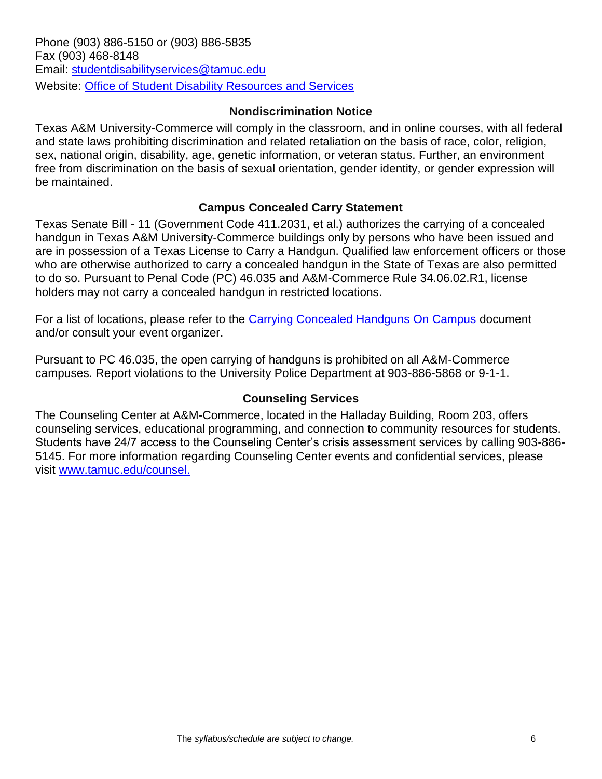### **Nondiscrimination Notice**

Texas A&M University-Commerce will comply in the classroom, and in online courses, with all federal and state laws prohibiting discrimination and related retaliation on the basis of race, color, religion, sex, national origin, disability, age, genetic information, or veteran status. Further, an environment free from discrimination on the basis of sexual orientation, gender identity, or gender expression will be maintained.

### **Campus Concealed Carry Statement**

Texas Senate Bill - 11 (Government Code 411.2031, et al.) authorizes the carrying of a concealed handgun in Texas A&M University-Commerce buildings only by persons who have been issued and are in possession of a Texas License to Carry a Handgun. Qualified law enforcement officers or those who are otherwise authorized to carry a concealed handgun in the State of Texas are also permitted to do so. Pursuant to Penal Code (PC) 46.035 and A&M-Commerce Rule 34.06.02.R1, license holders may not carry a concealed handgun in restricted locations.

For a list of locations, please refer to the [Carrying Concealed Handguns On Campus](http://www.tamuc.edu/aboutUs/policiesProceduresStandardsStatements/rulesProcedures/34SafetyOfEmployeesAndStudents/34.06.02.R1.pdf) document and/or consult your event organizer.

Pursuant to PC 46.035, the open carrying of handguns is prohibited on all A&M-Commerce campuses. Report violations to the University Police Department at 903-886-5868 or 9-1-1.

### **Counseling Services**

The Counseling Center at A&M-Commerce, located in the Halladay Building, Room 203, offers counseling services, educational programming, and connection to community resources for students. Students have 24/7 access to the Counseling Center's crisis assessment services by calling 903-886- 5145. For more information regarding Counseling Center events and confidential services, please visit [www.tamuc.edu/counsel.](http://www.tamuc.edu/counsel)